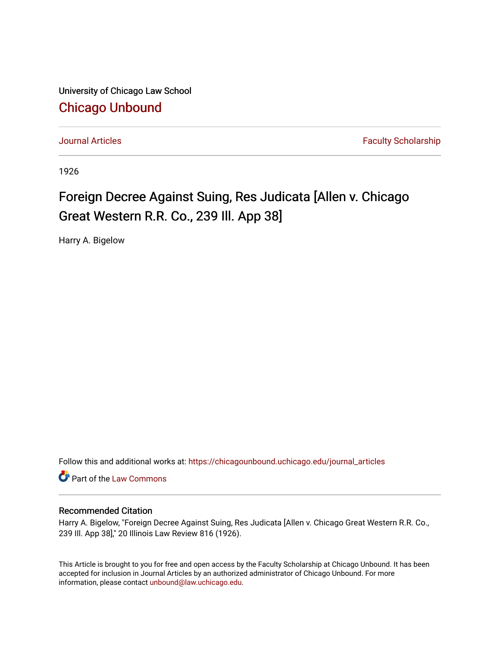University of Chicago Law School [Chicago Unbound](https://chicagounbound.uchicago.edu/)

[Journal Articles](https://chicagounbound.uchicago.edu/journal_articles) **Faculty Scholarship Journal Articles** 

1926

## Foreign Decree Against Suing, Res Judicata [Allen v. Chicago Great Western R.R. Co., 239 Ill. App 38]

Harry A. Bigelow

Follow this and additional works at: [https://chicagounbound.uchicago.edu/journal\\_articles](https://chicagounbound.uchicago.edu/journal_articles?utm_source=chicagounbound.uchicago.edu%2Fjournal_articles%2F7604&utm_medium=PDF&utm_campaign=PDFCoverPages) 

**C** Part of the [Law Commons](http://network.bepress.com/hgg/discipline/578?utm_source=chicagounbound.uchicago.edu%2Fjournal_articles%2F7604&utm_medium=PDF&utm_campaign=PDFCoverPages)

## Recommended Citation

Harry A. Bigelow, "Foreign Decree Against Suing, Res Judicata [Allen v. Chicago Great Western R.R. Co., 239 Ill. App 38]," 20 Illinois Law Review 816 (1926).

This Article is brought to you for free and open access by the Faculty Scholarship at Chicago Unbound. It has been accepted for inclusion in Journal Articles by an authorized administrator of Chicago Unbound. For more information, please contact [unbound@law.uchicago.edu](mailto:unbound@law.uchicago.edu).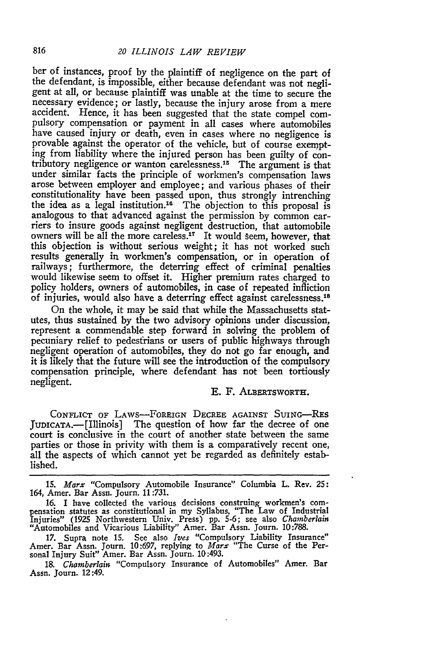ber of instances, proof by the plaintiff of negligence on the part of the defendant, is impossible, either because defendant was not negligent at all, or because plaintiff was unable at the time to secure the necessary evidence; or lastly, because the injury arose from a mere accident. Hence, it has been suggested that the state compel compulsory compensation or payment in all cases where automobiles have caused injury or death, even in cases where no negligence is provable against the operator of the vehicle, but of course exempting from liability where the injured person has been guilty of contributory negligence or wanton carelessness.15 The argument is that under similar facts the principle of workmen's compensation laws arose between employer and employee; and various phases of their constitutionality have been passed upon, thus strongly intrenching the idea as a legal institution.<sup>16</sup> The objection to this proposal is analogous to that advanced against the permission by common carriers to insure goods against negligent destruction, that automobile owners will be all the more careless.<sup>17</sup> It would seem, however, that this objection is without serious weight; it has not worked such results generally in workmen's compensation, or in operation of railways; furthermore, the deterring effect of criminal penalties would likewise seem to offset it. Higher premium rates charged to policy holders, owners of automobiles, in case of repeated infliction of injuries, would also have a deterring effect against carelessness.<sup>18</sup>

On the whole, it may be said that while the Massachusetts statutes, thus sustained by the two advisory opinions under discussion, represent a commendable step forward in solving the problem of pecuniary relief to pedestrians or users of public highways through negligent operation of automobiles, they do not go far enough, and it is likely that the future will see the introduction of the compulsory compensation principle, where defendant has not been tortiously negligent.<br>E. F. ALBERTSWORTH.

**CONFLICT** OF LAWS-FOREIGN DECREE AGAINST SUING-REs JUDICATA.- [Illinois] The question of how far the decree of one court is conclusive in the court of another state between the same parties or those in privity with them is a comparatively recent one, all the aspects of which cannot yet be regarded as definitely established.

15. *Marx* "Compulsory Automobile Insurance" Columbia L. Rev. 25: 164, Amer. Bar Assn. Journ. 11:731.

16. I have collected the various decisions construing workmen's com- pensation statutes as constitutional in my Syllabus, "The Law of Industrial Injuries" (1925 Northwestern Univ. Press) **pp.** 5-6; see also *Chamberlain* "Automobiles and Vicarious Liability" Amer. Bar Assn. Journ. 10:788.

17. Supra note 15. See also *Ives* "Compulsory Liability Insurance" Amer. Bar Assn. Journ. 10:697, replying to *Marx* "The Curse of the Personal Injury Suit" Amer. Bar Assn. Journ. 10:493.

18. *Chamberlain* "Compulsory Insurance of Automobiles" Amer. Bar Assn. Journ. 12:49.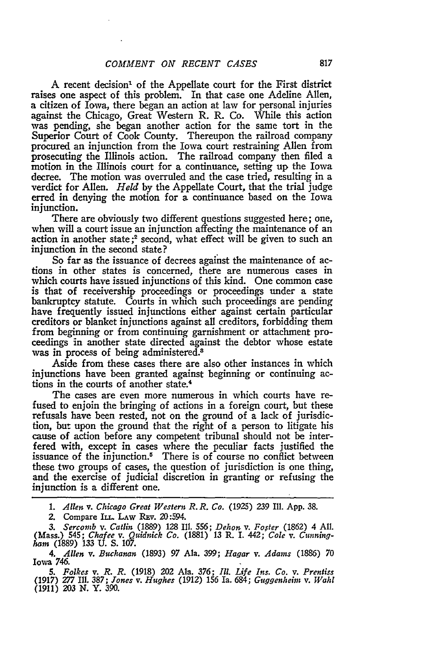A recent decision<sup>1</sup> of the Appellate court for the First district raises one aspect of this problem. In that case one Adeline Allen, a citizen of Iowa, there began an action at law for personal injuries against the Chicago, Great Western R. R. Co. While this action was pending, she began another action for the same tort in the Superior Court of Cook County. Thereupon the railroad company procured an injunction from the Iowa court restraining Allen from prosecuting the Illinois action. The railroad company then filed a motion in the Illinois court for a continuance, setting up the Iowa decree. The motion was overruled and the case tried, resulting in a verdict for Allen. *Held* by the Appellate Court, that the trial judge erred in denying the motion for a continuance based on the Iowa injunction.

There are obviously two different questions suggested here; one, when will a court issue an injunction affecting the maintenance of an action in another state;<sup>2</sup> second, what effect will be given to such an injunction in the second state?

So far as the issuance of decrees against the maintenance of actions in other states is concerned, there are numerous cases in which courts have issued injunctions of this kind. One common case is that of receivership proceedings or proceedings under a state bankruptcy statute. Courts in which such proceedings are pending have frequently issued injunctions either against certain particular creditors or blanket injunctions against all creditors, forbidding them from beginning or from continuing garnishment or attachment proceedings in another state directed against the debtor whose estate was in process of being administered.<sup>8</sup>

Aside from these cases there are also other instances in which injunctions have been granted against beginning or continuing actions in the courts of another state.4

The cases are even more numerous in which courts have refused to enjoin the bringing of actions in a foreign court, but these refusals have been rested, not on the ground of a lack of jurisdiction, but upon the ground that the right of a person to litigate his cause of action before any competent tribunal should not be interfered with, except in cases where the peculiar facts justified the issuance of the injunction.<sup>5</sup> There is of course no conflict between these two groups of cases, the question of jurisdiction is one thing, and the exercise of judicial discretion in granting or refusing the injunction is a different one.

*1. Allen v. Chicago Great Western R. R. Co.* (1925) *239* Ill. App. **38.**

*2.* Compare IL. LAw REv. 20:594.

*3. Sercomb v. Catlin* (1889) 128 IIl. **556;** *Dehon v. Foster* (1862) 4 All. (Mass.) 545; *Chafee v. Quidnick Co.* (1881) 13 R. **I.** *442; Cole v. Cunningham* **(1889) 133 U. S. 107.**

*4. Allen v. Buchanan* **(1893)** *97* Ala. **399;** *Hagar v. Adams* **(1886) 70** Iowa 746.

*5. Folkes v. R. R.* (1918) 202 Ala. **376;** *Ill. Life Ins. Co. v. Prentiss* (1917) *277* **II. 387;** *Jones v. Hughes* (1912) 156 Ia. 684; *Guggenheim v. Wahl* (1911) 203 **N.** Y. **390.**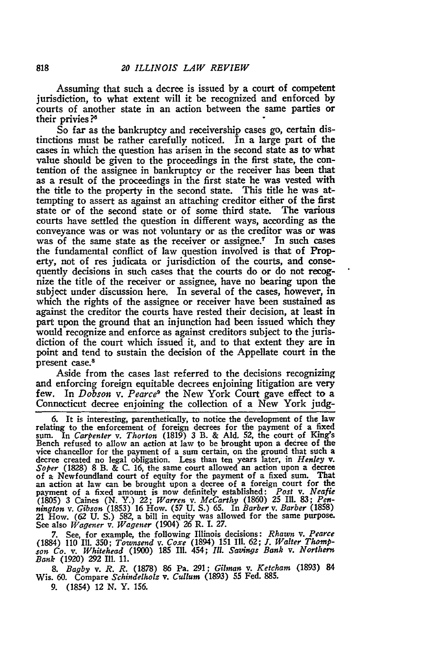Assuming that such a decree is issued by a court of competent jurisdiction, to what extent will it be recognized and enforced **by** courts of another state in an action between the same parties or their privies **?6**

So far as the bankruptcy and receivership cases go, certain distinctions must be rather carefully noticed. In a large part of the cases in which the question has arisen in the second state as **to.** what value should be given to the proceedings in the first state, the contention of the assignee in bankruptcy or the receiver has been that as a result of the proceedings in the first state he was vested with the title to the property in the second state. This title he was attempting to assert as against an attaching creditor either of the first state or of the second state or of some third state. The various courts have settled the question in different ways, according as the conveyance was or was not voluntary or as the creditor was or was was of the same state as the receiver or assignee.<sup>7</sup> In such cases the fundamental conflict of law question involved is that of Property, not of res judicata or jurisdiction of the courts, and consequently decisions in such cases that the courts do or do not recognize the title of the receiver or assignee, have no bearing upon the subject under discussion here. In several of the cases, however, in which the rights of the assignee or receiver have been sustained as against the creditor the courts have rested their decision, at least in part upon the ground that an injunction had been issued which they would recognize and enforce as against creditors subject to the jurisdiction of the court which issued it, and to that extent they are in point and tend to sustain the decision of the Appellate court in the present case.8

Aside from the cases last referred to the decisions recognizing and enforcing foreign equitable decrees enjoining litigation are very few. In *Dobson v. Pearce9* the New York Court gave effect to a Connecticut decree enjoining the collection of a New York **judg-**

6. It is interesting, parenthetically, to notice the development of the law relating to the enforcement of foreign decrees for the payment of a fixed sum. In *Carpenter v. Thorton* **(1819) 3** B. & **Ald.** 52, the court of King's Bench refused to allow an action at law to be brought upon a decree of the vice chancellor for the payment of a sum certain, on the ground that such a decree created no legal obligation. Less than ten years later, in *Henley v. Soper* **(1828) 8** B. & **C. 16,** the same court allowed an action upon a decree of a Newfoundland court of equity for the payment of a fixed sum. That an action at law can be brought upon a decree of a foreign court for the payment of a fixed amount is now definitely established: *Post v. Neafie* **(1805) 3** Caines **(N.** Y.) 22; *Warren v. McCarthy* **(1860) 25 Ill. 83;** *Pennington v. Gibson* **(1853) 16** How. **(57 U. S.) 65.** In *Barber v. Barber* **(1858)** 21 How. **(62 U. S.) 582,** a bill in equity was allowed for the same purpose. See also *Wagener v. Wagener* (1904) **26** R. I. **27.**

**7.** See, for example, the following Illinois decisions: *Rhawn v. Pearce* (1884) 110 **I11.** 350; *Townsend v. Coxe* (1894) 151 Ill. **62;** *1. Walter Thomp- son Co. v. Whitehead* **(1900) 185** Ill. 454; *Ill. Savings Bank v. Northern Bank* **(1920) 292** Ill. **11.**

*8. Bagby v. R. R.* **(1878) 86** Pa. **291;** *Gilman v. Ketcham* **(1893)** 84 Wis. **60.** Compare *Schindelholz v. Cullum* **(1893) 55** Fed. **885.**

**9.** (1854) 12 **N.** Y. **156.**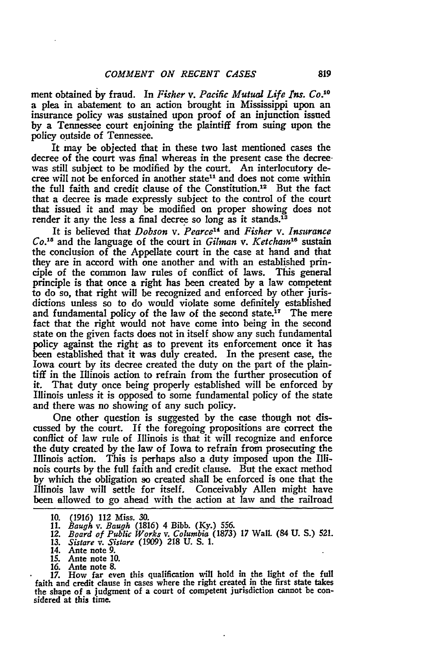ment obtained **by** fraud. In *Fisher v. Pacific Mutual Life Ins. Co."°* a plea in abatement to an action brought in Mississippi upon an insurance policy was sustained upon proof of an injunction issued **by** a Tennessee court enjoining the plaintiff from suing upon the policy outside of Tennessee.

It may be objected that in these two last mentioned cases the decree of the court was final whereas in the present case the decree. was still subject to be modified **by** the court. An interlocutory decree will not be enforced in another state<sup>11</sup> and does not come within the full faith and credit clause of the Constitution.<sup>12</sup> But the fact that a decree is made expressly subject to the control of the court that issued it and may be modified on proper showing does not render it any the less a final decree so long as it stands.<sup>13</sup>

It is believed that *Dobson v. Pearce" and Fisher v. Insurance Co.*<sup>15</sup> and the language of the court in *Gilman v. Ketcham*<sup>16</sup> sustain the conclusion of the Appellate court in the case at hand and that they are in accord with one another and with an established principle of the common law rules of conflict of laws. This general principle is that once a right has been created **by** a law competent to do so, that right will be recognized and enforced **by** other jurisdictions unless so to do would violate some definitely established and fundamental policy of the law of the second state.<sup>17</sup> The mere fact that the right would not have come into being in the second state on the given facts does not in itself show any such fundamental policy against the right as to prevent its enforcement once it has been established that it was duly created. In the present case, the Iowa court **by** its decree created the duty on the part of the plaintiff in the Illinois action to refrain from the further prosecution of it. That duty once being properly established will be enforced **by** Illinois unless it is opposed to some fundamental policy of the state and there was no showing of any such policy.

One other question is suggested by the case though not discussed by the court. If the foregoing propositions are correct the conflict of law rule of Illinois is that it will recognize and enforce the duty created by the law of Iowa to refrain from prosecuting the Illinois action. This is perhaps also a duty imposed upon the Illinois courts by the full faith and credit clause. But the exact method by which the obligation so created shall be enforced is one that the Illinois law will settle for itself. Conceivably Allen might have been allowed to go ahead with the action at law and the railroad

10. (1916) *112* Miss. *30.* 11. *Baugh v. Baugh* (1816) 4 Bibb. (Ky.) **556.** *12. Board of Public Works v. Columbia* (1873) **17** Wall. (84 **U. S.)** 521.

*17.* How far even this qualification will hold in the light of the full faith and credit clause in cases where the right created in the first state takes the shape of a judgment of a court of competent jurisdiction cannot be considered at this time.

*<sup>13.</sup> Sistare v. Sistare* (1909) **218** U. S. 1.

<sup>14.</sup> Ante note **9.**

**<sup>15.</sup>** Ante note **10.**

<sup>16.</sup> Ante note 8.